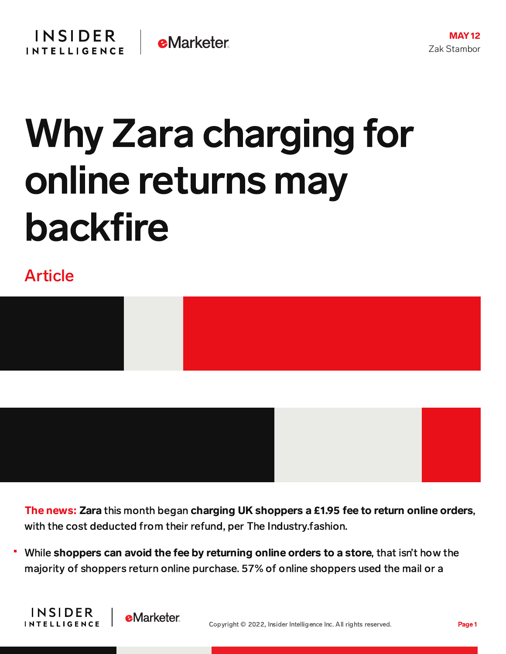

## Why Zara charging for online returns may backfire

## Article

**INSIDER** 

**INTELLIGENCE** 

**e**Marketer





The news: Zara this month began charging UK shoppers a £1.95 fee to return online orders, with the cost deducted from their refund, per The Industry.fashion.

While shoppers can avoid the fee by returning online orders to a store, that isn't how the majority of shoppers return online purchase. 57% of online shoppers used the mail or a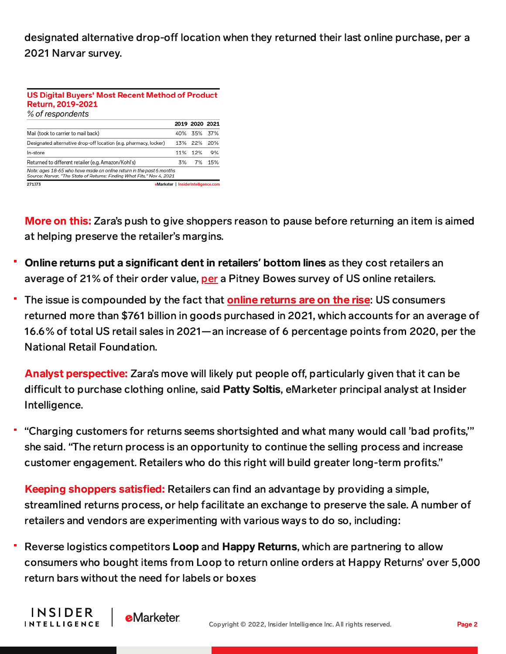designated alternative drop-off location when they returned their last online purchase, per a 2021 Narvar survey.

| US Digital Buyers' Most Recent Method of Product<br>Return, 2019-2021<br>% of respondents                                                      |                                     |                |     |
|------------------------------------------------------------------------------------------------------------------------------------------------|-------------------------------------|----------------|-----|
|                                                                                                                                                |                                     | 2019 2020 2021 |     |
| Mail (took to carrier to mail back)                                                                                                            | 40%                                 | 35%            | 37% |
| Designated alternative drop-off location (e.g. pharmacy, locker)                                                                               | 13%                                 | 22%            | 20% |
| In-store                                                                                                                                       | 11%                                 | 12%            | 9%  |
| Returned to different retailer (e.g. Amazon/Kohl's)                                                                                            | 3%                                  | 7%             | 15% |
| Note: ages 18-65 who have made an online return in the past 6 months<br>Source: Narvar, "The State of Returns: Findina What Fits." Nov 4, 2021 |                                     |                |     |
| 271373                                                                                                                                         | eMarketer   InsiderIntelligence.com |                |     |

**More on this:** Zara's push to give shoppers reason to pause before returning an item is aimed at helping preserve the retailer's margins.

- **Online returns put a significant dent in retailers' bottom lines as they cost retailers an** average of 21% of their order value, [per](https://www.businesswire.com/news/home/20220414005151/en/Pitney-Bowes-Survey-Returns-Cost-US-Online-Retailers-21-of-Order-Value/?feedref=JjAwJuNHiystnCoBq_hl-VnV5yIvC6Cb5SyVsPlJjVxcgiwDl5F89IquLVWUqfRVgLxDkSKfgoruKb9yWl5as-PbWreMWuYBefATrZ0EPTXJMr30SssGlPZgFw-ap8SIBSvR87oUDgbHejiywQBpbg==) a Pitney Bowes survey of US online retailers.
- The issue is compounded by the fact that **online [returns](https://content-na1.emarketer.com/swelling-returns-force-retailers-rethink-shopping-experience) are on the rise**: US consumers returned more than \$761 billion in goods purchased in 2021, which accounts for an average of 16.6% of total US retail sales in 2021—an increase of 6 percentage points from 2020, per the National Retail Foundation.

Analyst perspective: Zara's move will likely put people off, particularly given that it can be difficult to purchase clothing online, said Patty Soltis, eMarketer principal analyst at Insider Intelligence.

"Charging customers for returns seems shortsighted and what many would call 'bad profits,'" she said. "The return process is an opportunity to continue the selling process and increase customer engagement. Retailers who do this right will build greater long-term profits."

Keeping shoppers satisfied: Retailers can find an advantage by providing a simple, streamlined returns process, or help facilitate an exchange to preserve the sale. A number of retailers and vendors are experimenting with various ways to do so, including:

Reverse logistics competitors Loop and Happy Returns, which are partnering to allow consumers who bought items from Loop to return online orders at Happy Returns' over 5,000 return bars without the need for labels or boxes